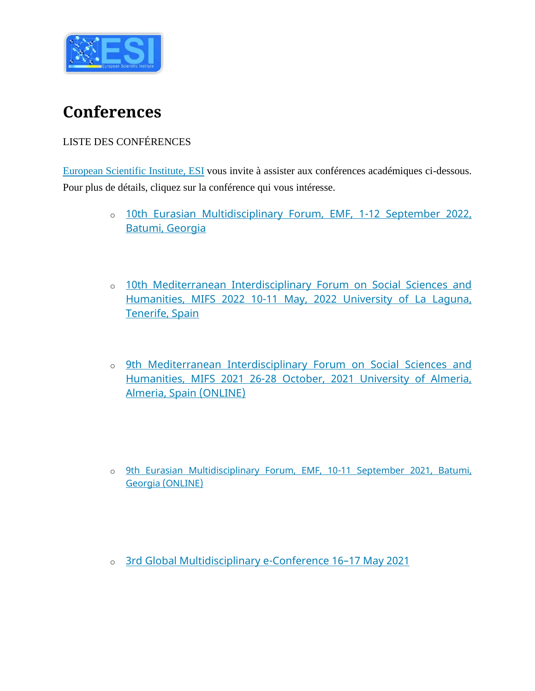

## **Conferences**

## LISTE DES CONFÉRENCES

[European Scientific Institute, ESI](http://euinstitute.net/) vous invite à assister aux conférences académiques ci-dessous. Pour plus de détails, cliquez sur la conférence qui vous intéresse.

- o [10th Eurasian Multidisciplinary Forum, EMF, 1-12](https://emf.euinstitute.net/) September 2022, [Batumi, Georgia](https://emf.euinstitute.net/)
- o [10th Mediterranean Interdisciplinary Forum on Social Sciences and](https://esjeconference.euinstitute.net/)  Humanities, MIFS 2022 10-11 [May, 2022 University of La Laguna,](https://esjeconference.euinstitute.net/)  [Tenerife, Spain](https://esjeconference.euinstitute.net/)
- o [9th Mediterranean Interdisciplinary Forum on Social Sciences and](https://esjeconference.euinstitute.net/)  [Humanities, MIFS 2021 26-28 October, 2021 University of Almeria,](https://esjeconference.euinstitute.net/)  [Almeria, Spain \(ONLINE\)](https://esjeconference.euinstitute.net/)
- o [9th Eurasian Multidisciplinary Forum, EMF, 10-11 September 2021, Batumi,](https://emf.euinstitute.net/)  [Georgia \(ONLINE\)](https://emf.euinstitute.net/)
- o [3rd Global Multidisciplinary e-Conference 16](https://esjeconference.euinstitute.net/)–17 May 2021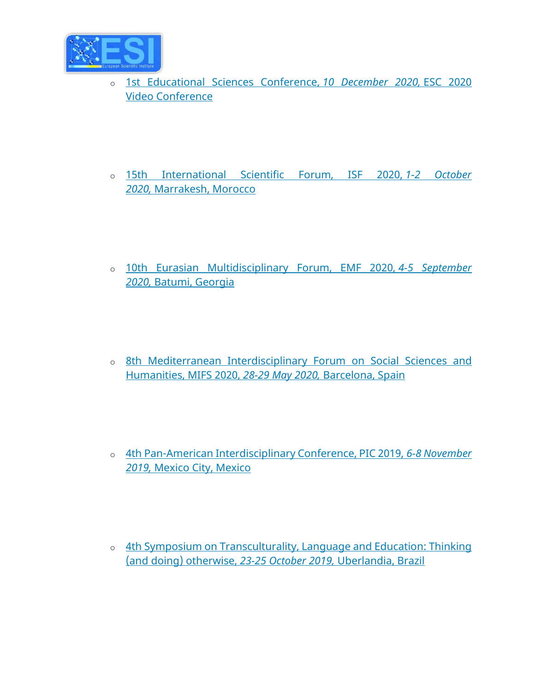

- o [1st Educational Sciences Conference,](https://euinstitute.net/1st-educational-sciences-conference-esc-2020-video-conference-10-december-2020/) *10 December 2020,* ESC 2020 [Video Conference](https://euinstitute.net/1st-educational-sciences-conference-esc-2020-video-conference-10-december-2020/)
- o [15th International Scientific Forum, ISF 2020,](http://isfmorocco.euinstitute.net/) *1-2 October 2020,* [Marrakesh, Morocco](http://isfmorocco.euinstitute.net/)
- o [10th Eurasian Multidisciplinary Forum, EMF 2020,](http://emf.euinstitute.net/) *4-5 September 2020,* [Batumi, Georgia](http://emf.euinstitute.net/)
- o [8th Mediterranean Interdisciplinary Forum on Social Sciences and](http://mforumbarcelona.net/)  [Humanities, MIFS 2020,](http://mforumbarcelona.net/) *28-29 May 2020,* Barcelona, Spain
- o [4th Pan-American Interdisciplinary Conference, PIC 2019,](http://picmexico.euinstitute.net/) *6-8 November 2019,* [Mexico City, Mexico](http://picmexico.euinstitute.net/)
- o [4th Symposium on Transculturality, Language and Education: Thinking](https://eujournal.org/files/journals/1/books/CallForPapersBrazil.pdf)  [\(and doing\) otherwise,](https://eujournal.org/files/journals/1/books/CallForPapersBrazil.pdf) *23-25 October 2019,* Uberlandia, Brazil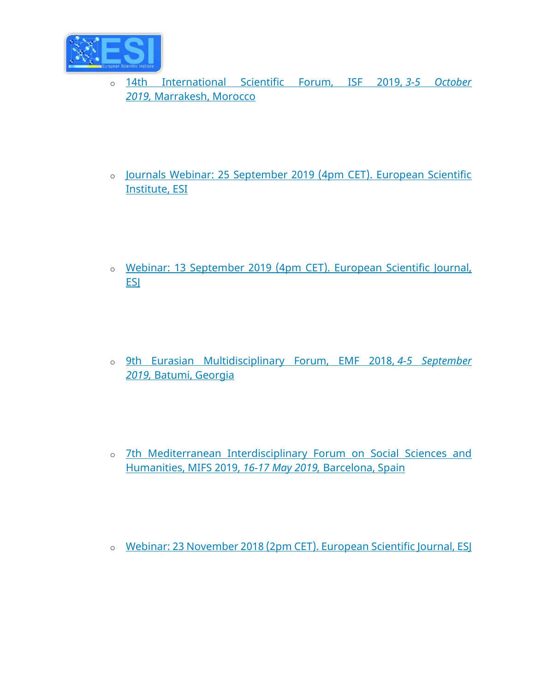

- o [14th International Scientific Forum, ISF 2019,](http://isfmorocco.euinstitute.net/) *3-5 October 2019,* [Marrakesh, Morocco](http://isfmorocco.euinstitute.net/)
- o [Journals Webinar: 25 September 2019 \(4pm CET\). European Scientific](http://journalswebinar.euinstitute.net/) [Institute, ESI](http://journalswebinar.euinstitute.net/)
- o [Webinar: 13 September 2019 \(4pm CET\). European Scientific Journal,](http://esjeconference.euinstitute.net/)  **ESI**
- o [9th Eurasian Multidisciplinary Forum, EMF 2018,](http://emf.euinstitute.net/) *4-5 September 2019,* [Batumi, Georgia](http://emf.euinstitute.net/)
- o [7th Mediterranean Interdisciplinary Forum on Social Sciences and](http://mforumbarcelona.net/)  [Humanities, MIFS 2019,](http://mforumbarcelona.net/) *16-17 May 2019,* Barcelona, Spain
- o [Webinar: 23 November 2018 \(2pm CET\). European Scientific Journal, ESJ](http://esjeconference.euinstitute.net/)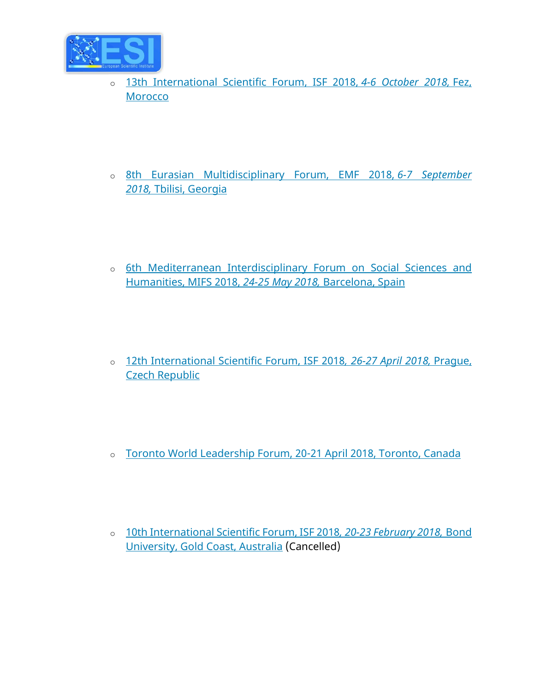

- o [13th International Scientific Forum, ISF 2018,](http://isfmorocco.euinstitute.net/) *4-6 October 2018,* Fez, **[Morocco](http://isfmorocco.euinstitute.net/)**
- o [8th Eurasian Multidisciplinary Forum, EMF 2018,](http://emf.euinstitute.net/) *6-7 September 2018,* [Tbilisi, Georgia](http://emf.euinstitute.net/)
- o [6th Mediterranean Interdisciplinary Forum on Social Sciences and](http://mforumbarcelona.net/)  [Humanities, MIFS 2018,](http://mforumbarcelona.net/) *24-25 May 2018,* Barcelona, Spain
- o [12th International Scientific Forum, ISF 2018](http://isfprague.euinstitute.net/)*, 26-27 April 2018,* Prague, [Czech Republic](http://isfprague.euinstitute.net/)
- o [Toronto World Leadership Forum, 20-21 April 2018, Toronto, Canada](https://eujournal.org/index.php/esj/pages/view/books)
- o [10th International Scientific Forum, ISF 2018](http://isfaus.euinstitute.net/)*, 20-23 February 2018,* Bond [University, Gold Coast, Australia](http://isfaus.euinstitute.net/) (Cancelled)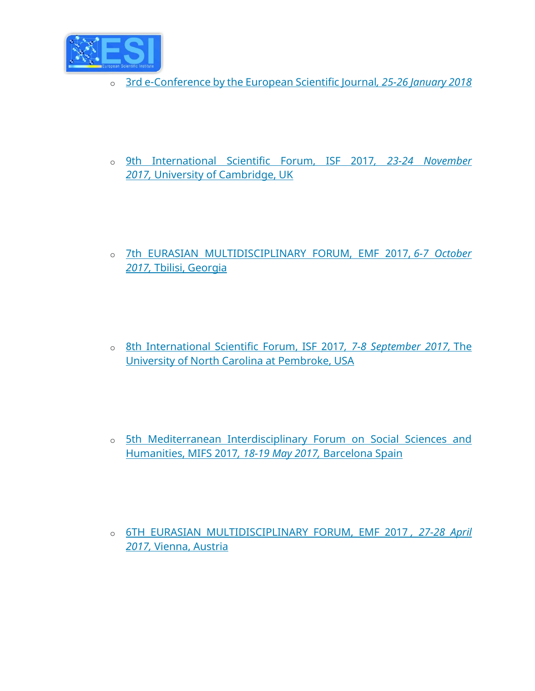

- o [3rd e-Conference by the European Scientific Journal](http://esjeconference.euinstitute.net/)*, 25-26 January 2018*
- o [9th International Scientific Forum, ISF 2017](http://isfcambridge.euinstitute.net/)*, 23-24 November 2017,* [University of Cambridge, UK](http://isfcambridge.euinstitute.net/)
- o [7th EURASIAN MULTIDISCIPLINARY FORUM, EMF 2017,](http://emf.euinstitute.net/) *6-7 October 2017,* [Tbilisi, Georgia](http://emf.euinstitute.net/)
- o [8th International Scientific Forum, ISF 2017](http://isf.euinstitute.net/)*, 7-8 September 2017,* The [University of North Carolina at Pembroke, USA](http://isf.euinstitute.net/)
- o [5th Mediterranean Interdisciplinary Forum on Social Sciences and](http://mforumbarcelona.net/)  [Humanities, MIFS 2017](http://mforumbarcelona.net/)*, 18-19 May 2017,* Barcelona Spain
- o [6TH EURASIAN MULTIDISCIPLINARY FORUM, EMF 2017](https://eujournal.org/index.php/esj/pages/view/books) *, 27-28 April 2017,* [Vienna, Austria](https://eujournal.org/index.php/esj/pages/view/books)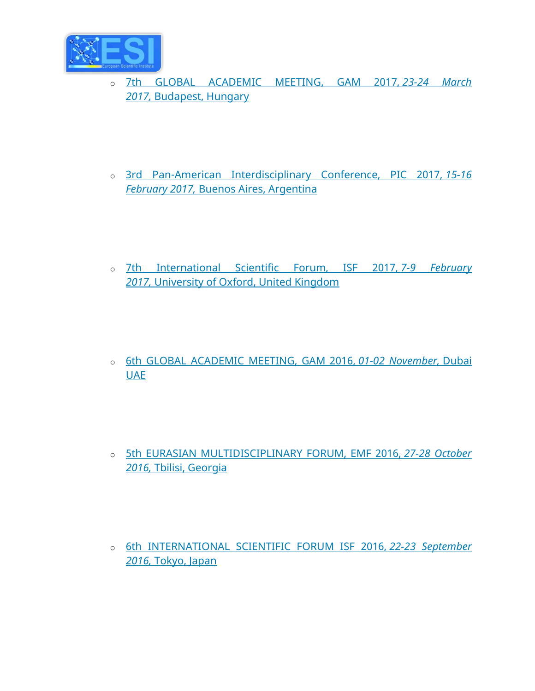

- o [7th GLOBAL ACADEMIC MEETING, GAM 2017,](http://gambudapest.euinstitute.net/) *23-24 March 2017,* [Budapest, Hungary](http://gambudapest.euinstitute.net/)
- o [3rd Pan-American Interdisciplinary Conference, PIC 2017,](http://piconference.net/) *15-16 February 2017,* [Buenos Aires, Argentina](http://piconference.net/)
- o [7th International Scientific Forum, ISF 2017,](https://eujournal.org/index.php/esj/pages/view/books) *7-9 February 2017,* [University of Oxford, United Kingdom](https://eujournal.org/index.php/esj/pages/view/books)
- o [6th GLOBAL ACADEMIC MEETING, GAM 2016,](https://eujournal.org/index.php/esj/pages/view/books) *01-02 November,* Dubai **[UAE](https://eujournal.org/index.php/esj/pages/view/books)**
- o [5th EURASIAN MULTIDISCIPLINARY FORUM, EMF 2016,](https://eujournal.org/index.php/esj/pages/view/books) *27-28 October 2016,* [Tbilisi, Georgia](https://eujournal.org/index.php/esj/pages/view/books)
- o [6th INTERNATIONAL SCIENTIFIC FORUM ISF 2016,](https://eujournal.org/index.php/esj/pages/view/books) *22-23 September 2016,* [Tokyo, Japan](https://eujournal.org/index.php/esj/pages/view/books)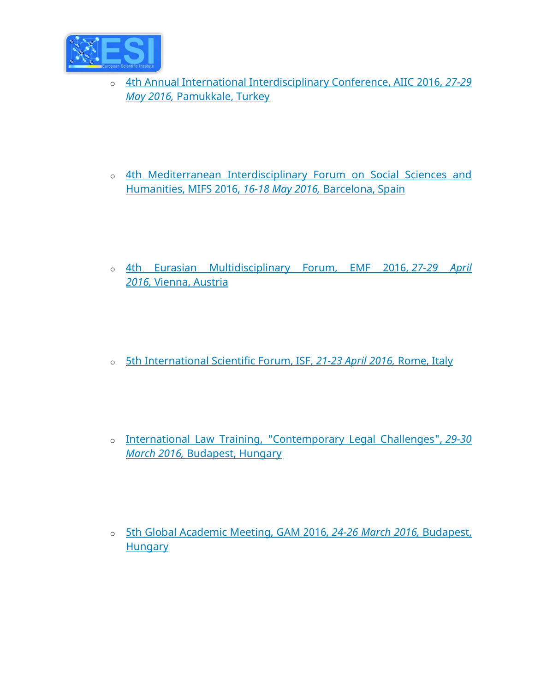

- o [4th Annual International Interdisciplinary Conference, AIIC 2016,](https://eujournal.org/index.php/esj/pages/view/books) *27-29 May 2016,* [Pamukkale, Turkey](https://eujournal.org/index.php/esj/pages/view/books)
- o [4th Mediterranean Interdisciplinary Forum on Social Sciences and](http://mforumbarcelona.net/)  [Humanities, MIFS 2016,](http://mforumbarcelona.net/) *16-18 May 2016,* Barcelona, Spain
- o [4th Eurasian Multidisciplinary Forum, EMF 2016,](https://eujournal.org/index.php/esj/pages/view/books) *27-29 April 2016,* [Vienna, Austria](https://eujournal.org/index.php/esj/pages/view/books)
- o [5th International Scientific Forum, ISF,](https://eujournal.org/index.php/esj/pages/view/books) *21-23 April 2016,* Rome, Italy
- o [International Law Training, "Contemporary Legal Challenges",](https://eujournal.org/index.php/esj/pages/view/books) *29-30 March 2016,* [Budapest, Hungary](https://eujournal.org/index.php/esj/pages/view/books)
- o [5th Global Academic Meeting, GAM 2016,](http://gambudapest.euinstitute.net/) *24-26 March 2016,* Budapest, **[Hungary](http://gambudapest.euinstitute.net/)**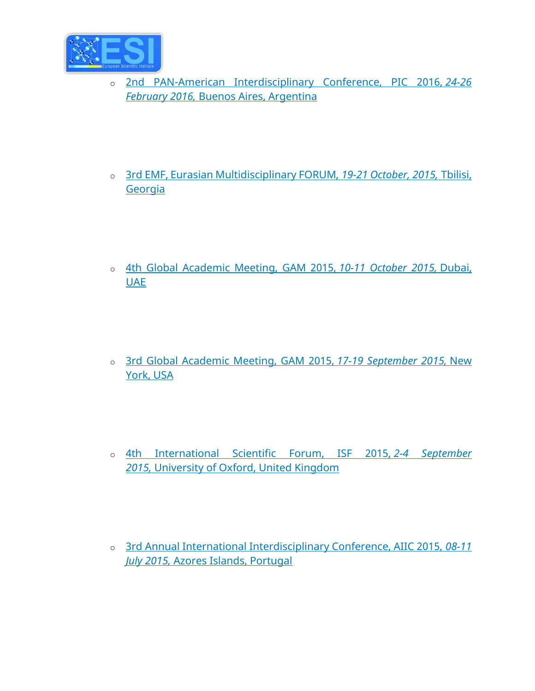

- o [2nd PAN-American Interdisciplinary Conference, PIC 2016,](http://piconference.net/) *24-26 February 2016,* [Buenos Aires, Argentina](http://piconference.net/)
- o [3rd EMF, Eurasian Multidisciplinary FORUM,](https://eujournal.org/index.php/esj/pages/view/books) *19-21 October, 2015,* Tbilisi, **[Georgia](https://eujournal.org/index.php/esj/pages/view/books)**
- o [4th Global Academic Meeting, GAM 2015,](https://eujournal.org/index.php/esj/pages/view/books) *10-11 October 2015,* Dubai, [UAE](https://eujournal.org/index.php/esj/pages/view/books)
- o [3rd Global Academic Meeting, GAM 2015,](https://eujournal.org/index.php/esj/pages/view/books) *17-19 September 2015,* New [York, USA](https://eujournal.org/index.php/esj/pages/view/books)
- o [4th International Scientific Forum, ISF 2015,](https://eujournal.org/index.php/esj/pages/view/books) *2-4 September 2015,* [University of Oxford, United Kingdom](https://eujournal.org/index.php/esj/pages/view/books)
- o [3rd Annual International Interdisciplinary Conference, AIIC 2015,](https://eujournal.org/index.php/esj/pages/view/books) *08-11 July 2015,* [Azores Islands, Portugal](https://eujournal.org/index.php/esj/pages/view/books)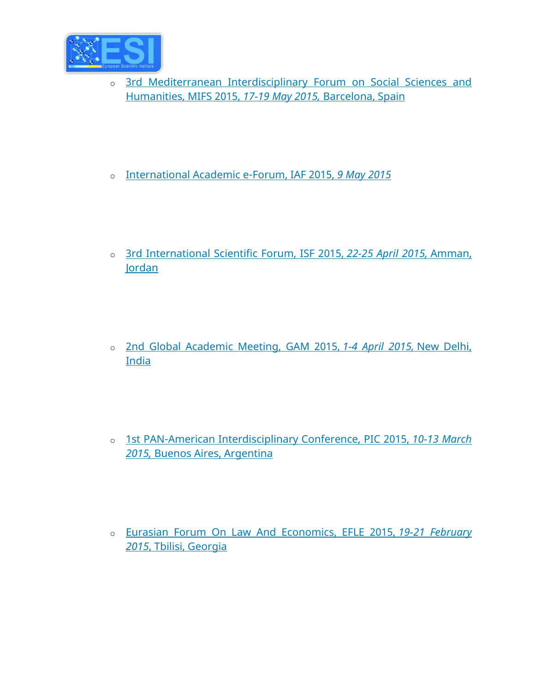

- o [3rd Mediterranean Interdisciplinary Forum on Social Sciences and](http://mforumbarcelona.net/)  [Humanities, MIFS 2015,](http://mforumbarcelona.net/) *17-19 May 2015,* Barcelona, Spain
- o [International Academic e-Forum, IAF 2015,](https://eujournal.org/index.php/esj/pages/view/books) *9 May 2015*
- o [3rd International Scientific Forum, ISF 2015,](https://eujournal.org/index.php/esj/pages/view/books) *22-25 April 2015,* Amman, [Jordan](https://eujournal.org/index.php/esj/pages/view/books)
- o [2nd Global Academic Meeting, GAM 2015,](https://eujournal.org/index.php/esj/pages/view/books) *1-4 April 2015,* New Delhi, [India](https://eujournal.org/index.php/esj/pages/view/books)
- o [1st PAN-American Interdisciplinary Conference, PIC 2015,](http://piconference.net/) *10-13 March 2015,* [Buenos Aires, Argentina](http://piconference.net/)
- o [Eurasian Forum On Law And Economics, EFLE 2015,](https://eujournal.org/index.php/esj/pages/view/books) *19-21 February 2015*[, Tbilisi, Georgia](https://eujournal.org/index.php/esj/pages/view/books)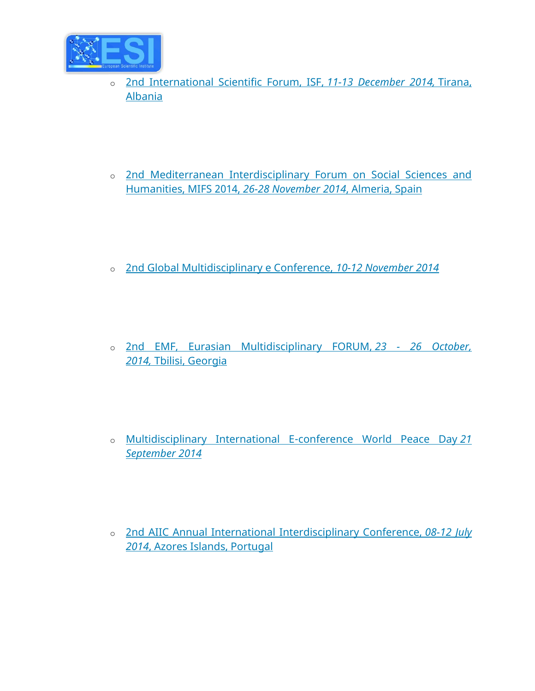

- o [2nd International Scientific Forum, ISF,](https://eujournal.org/index.php/esj/pages/view/books) *11-13 December 2014,* Tirana, [Albania](https://eujournal.org/index.php/esj/pages/view/books)
- o [2nd Mediterranean Interdisciplinary Forum on Social Sciences and](https://eujournal.org/index.php/esj/pages/view/books)  [Humanities, MIFS 2014,](https://eujournal.org/index.php/esj/pages/view/books) *26-28 November 2014*, Almeria, Spain
- o [2nd Global Multidisciplinary e Conference,](https://eujournal.org/index.php/esj/pages/view/books) *10-12 November 2014*
- o [2nd EMF, Eurasian Multidisciplinary FORUM,](https://eujournal.org/index.php/esj/pages/view/books) *23 - 26 October, 2014,* [Tbilisi, Georgia](https://eujournal.org/index.php/esj/pages/view/books)
- o [Multidisciplinary International E-conference World Peace Day](https://eujournal.org/index.php/esj/pages/view/books) *21 [September 2014](https://eujournal.org/index.php/esj/pages/view/books)*
- o [2nd AIIC Annual International Interdisciplinary Conference,](https://eujournal.org/index.php/esj/pages/view/books) *08-12 July 2014*[, Azores Islands, Portugal](https://eujournal.org/index.php/esj/pages/view/books)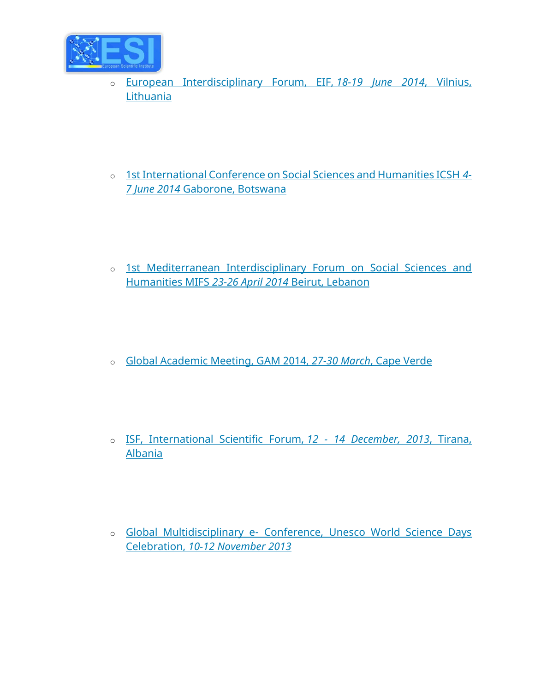

- o [European Interdisciplinary Forum, EIF,](https://eujournal.org/index.php/esj/pages/view/books) *18-19 June 2014*, Vilnius, [Lithuania](https://eujournal.org/index.php/esj/pages/view/books)
- o [1st International Conference on Social Sciences and Humanities ICSH](https://eujournal.org/index.php/esj/pages/view/books) *4- 7 June 2014* [Gaborone, Botswana](https://eujournal.org/index.php/esj/pages/view/books)
- o [1st Mediterranean Interdisciplinary Forum on Social Sciences and](https://eujournal.org/index.php/esj/pages/view/books)  [Humanities MIFS](https://eujournal.org/index.php/esj/pages/view/books) *23-26 April 2014* Beirut, Lebanon
- o [Global Academic Meeting, GAM 2014,](https://eujournal.org/index.php/esj/pages/view/books) *27-30 March*, Cape Verde
- o [ISF, International Scientific Forum,](https://eujournal.org/index.php/esj/pages/view/books) *12 - 14 December, 2013*, Tirana, [Albania](https://eujournal.org/index.php/esj/pages/view/books)
- o Global Multidisciplinary e- [Conference, Unesco World Science Days](https://eujournal.org/index.php/esj/pages/view/books)  Celebration, *[10-12 November 2013](https://eujournal.org/index.php/esj/pages/view/books)*